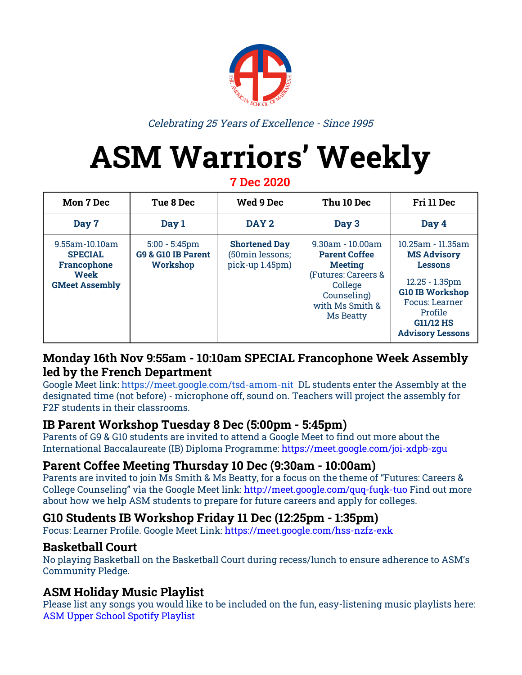

Celebrating 25 Years of Excellence - Since 1995

# **ASM Warriors' Weekly**

**7 Dec 2020**

| <b>Mon 7 Dec</b>                                                                 | Tue 8 Dec                                          | Wed 9 Dec                                                  | Thu 10 Dec                                                                                                                                        | Fri 11 Dec                                                                                                                                                                                         |
|----------------------------------------------------------------------------------|----------------------------------------------------|------------------------------------------------------------|---------------------------------------------------------------------------------------------------------------------------------------------------|----------------------------------------------------------------------------------------------------------------------------------------------------------------------------------------------------|
| Day 7                                                                            | Day 1                                              | DAY 2                                                      | Day 3                                                                                                                                             | Day 4                                                                                                                                                                                              |
| 9.55am-10.10am<br><b>SPECIAL</b><br>Francophone<br>Week<br><b>GMeet Assembly</b> | $5:00 - 5:45$ pm<br>G9 & G10 IB Parent<br>Workshop | <b>Shortened Day</b><br>(50min lessons;<br>pick-up 1.45pm) | $9.30$ am - $10.00$ am<br><b>Parent Coffee</b><br><b>Meeting</b><br>(Futures: Careers &<br>College<br>Counseling)<br>with Ms Smith &<br>Ms Beatty | 10.25am - 11.35am<br><b>MS Advisory</b><br><b>Lessons</b><br>$12.25 - 1.35$ pm<br><b>G10 IB Workshop</b><br><b>Focus: Learner</b><br><b>Profile</b><br><b>G11/12 HS</b><br><b>Advisory Lessons</b> |

### **Monday 16th Nov 9:55am - 10:10am SPECIAL Francophone Week Assembly led by the French Department**

Google Meet link: <https://meet.google.com/tsd-amom-nit> DL students enter the Assembly at the designated time (not before) - microphone off, sound on. Teachers will project the assembly for F2F students in their classrooms.

## **IB Parent Workshop Tuesday 8 Dec (5:00pm - 5:45pm)**

Parents of G9 & G10 students are invited to attend a Google Meet to find out more about the International Baccalaureate (IB) Diploma Programme: <https://meet.google.com/joi-xdpb-zgu>

## **Parent Coffee Meeting Thursday 10 Dec (9:30am - 10:00am)**

Parents are invited to join Ms Smith & Ms Be[a](http://meet.google.com/dgz-qjfx-zcq)tty, for a focus on the theme of "Futures: Careers & College Counseling" via the Google Meet link: <http://meet.google.com/quq-fuqk-tuo> Find out more about how we help ASM students to prepare for future careers and apply for colleges.

#### **G10 Students IB Workshop Friday 11 Dec (12:25pm - 1:35pm)**

Focus: Learner Profile. Google Meet Link: <https://meet.google.com/hss-nzfz-exk>

#### **Basketball Court**

No playing Basketball on the Basketball Court during recess/lunch to ensure adherence to ASM's Community Pledge.

### **ASM Holiday Music Playlist**

Please list any songs you would like to be included on the fun, easy-listening music playlists here: ASM Upper School Spotify [Playlist](https://docs.google.com/document/d/1sjRCtxszUleGU2ko7yO7JqoN4F0FKJ9MeHBTHPf_6Vo/edit?usp=sharing)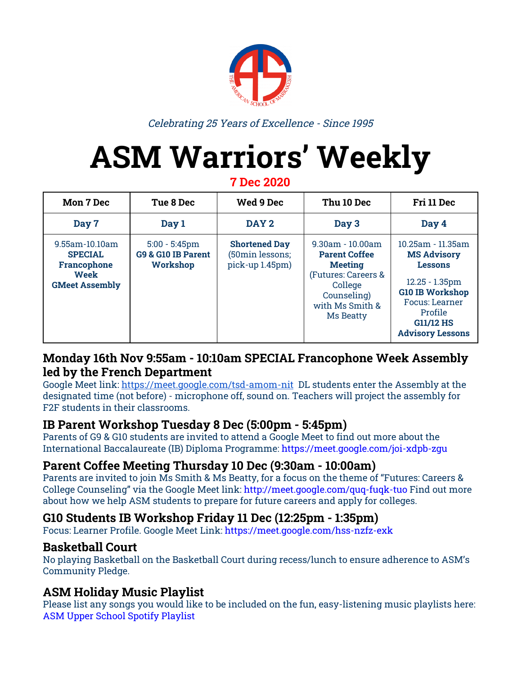# ASM's Food & Clothing Drive

**WHEN? NOVEMBER 30TH - DECEMBER 15TH WHO? STUDENT COUNCIL AND OUTREACH. PLEASE GIVE YOUR ITEMS TO YOUR CLASS REPRESENTATIVES.** WHERE? THE FOOD AND CLOTHING WILL BE DONATED TO A VILLAGE CALLED AIT SOUKA IN IMLIL. THROUGH THE HELPING **HANDS INITIATIVE.** 

**HOW? YOUR CLASS WILL BE SCORED BASED ON THE AMOUNT** OF ITEMS BROUGHT IN AND DIVERSITY OF THOSE ITEMS. **SCORE SHEET BELOW.** 

## THE CLASS THAT BRINGS THE MOST ITEMS

## **WINS A PIZZA PARTY!**

IF YOU ARE PART OF HIGH SCHOOL AND WANT TO HELP OUT BY AIDING US IN THE SANITATION OF THE FOOD THEN EMAIL THE OUTREACH PRESIDENT (UMA JOYSTON-BECHAL) AND WE WILL LET YOU KNOW

**WHEN TO COME AND HELP.** 

Email - uma.joyston@asm.ma

### **POINT SYSTEM**



 $F$ LOUR PER  $1$ KG = 5 POINTS **DRIED LENTILS AND OTHER DRIED BEANS PER 1KG = 3 POINTS** CORN OR SUNFLOWER OR OLIVE OIL PER IL = 2 POINTS RICE PER  $1KG = 4$  points  $SUBAR = 3$  POINTS **CANNED FOOD (BEANS, CORN, TOMATO PASTE, VEGETABLE AND FRUITS...) PER CAN = 5 POINTS** PACKAGED YEAST = 3 POINTS  $Couscous = 4 points$  $EL$  KEF  $-$  SOAP  $=$  1 POINT **CLOTHES - ALL ONE POINT (T-SHIRTS HATS PANTS)** SOCKS JACKETS OR COATS HOODIES OR ZIP UPS **SHOES SCARFS NEW MASKS (IN PACKAGING))**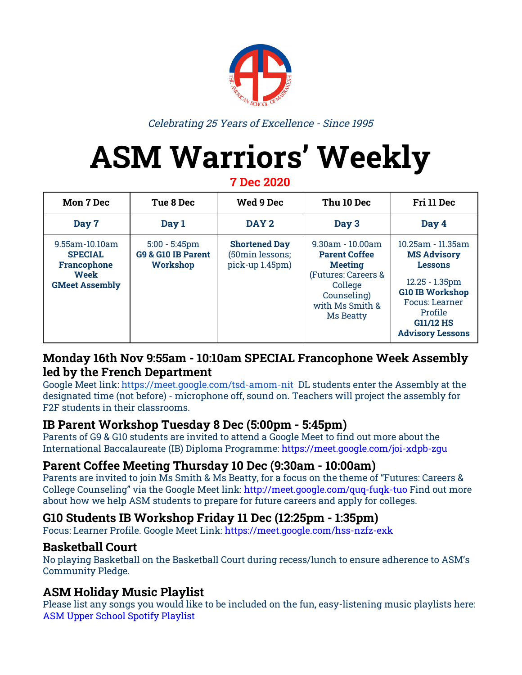## **How to prepare for exams**

As we all know, we are currently approaching the week of High School exams **fB YWYa VYf '% I\ z'% I\ '** UbX<sup>o</sup>/+h L At this point in time most of us are asking ourselves several questions such as:

- Ý M

- *- How do I start?*
- *- When do I start?*
- *- What do I need to know?*
- *- How do I study?*

These questions could be answered simply by taking a couple of steps. Preparing for an exam can be stressful and very time consuming. By doing a couple of things ahead of time, it'll help make you feel more confident and ready for anything that comes up on the test.

Here are a couple of tips:

<https://www.topuniversities.com/student-info/health-and-support/exam-preparation-ten-study-tips>

- 1. Give yourself more than enough time to review the material that was covered in class. You might want to gauge how soon to start studying by how much material you need to review. For instance, if you have to review material for an entire semester, you might want to start studying a few weeks prior.
- 2. Read through the entirety of your notes that will be on the exam. It will refresh your memory of the material and help you remember what you learned. It will also help to make you aware of all the information in your notes, where it is located in your notes so that you know where to find them, and what might be missing from your notes. Decide if you think your notes are sufficient enough to study from. Did you miss any classes? Are some of your notes missing? If so, you might need to borrow someone else's notes.
- 3. One of the easiest ways to begin your studying process is to find out what is on the test directly from your teacher. Many teachers will provide some guidance on what will and will not be covered on the test. Knowing which material the test will cover will help you focus on the main material.
- 4. The syllabus is an outline of everything that you should have learned over the course of the class. It's a good place to start to understand major ideas and topics that you should be learning from the class. Review it and highlight the titles and subheadings. These are the sections that you'll need to at least review to make sure you understand the big ideas behind the topics.
- 5. Make flash cards. After you have taken notes from studying all of your materials including the book and your notes, use that information to make flash cards. (Grab an index card, or cut paper into squares to use as a flashcard.) Turn statements into questions. Once everything is written down on flashcards, quiz yourself with the cards. Keep reviewing the questions that you get wrong until you get them right. You can carry flashcards around with you and quiz yourself when you're on your way to school or on the way back home. You might quiz yourself for a half hour or so, then take a break. Definitely continue to quiz yourself until you get them all right.
- 6. Reviewing past tests can help you understand the format of the test and whether it will be multiple choice, short answer or essay. It also gives you more ideas about how to study. Does it ask for specific information like dates and times that events occurred? Or is it testing big ideas with explanations in an essay format?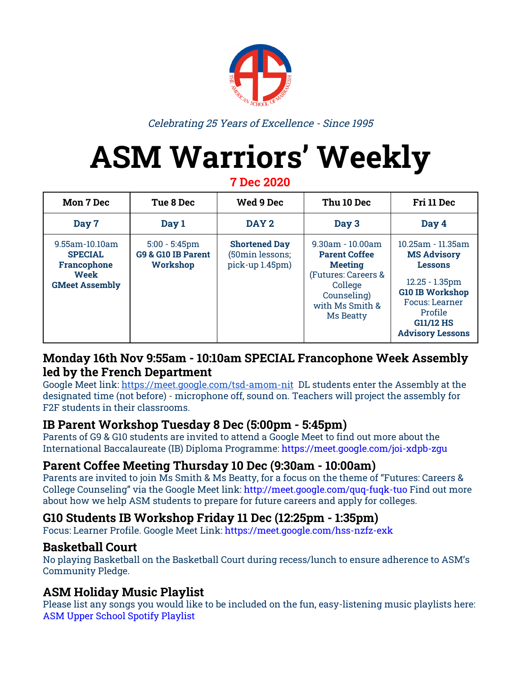## **COVID-19 and Vaccine UPDATE**

By Diane Soulan

In Morocco, the total number of COVID-19 cases is 341,000 while 290,000 have recovered. There have unfortunately been 5,619 deaths. The pandemic can cause a lot of anxiety and stress so here are some coping methods you should try; connect with others electronically, keep a healthy routine and be kind to yourself and others.

Morocco will receive a first batch of 10 million doses of the COVID-19 vaccine from China within the next month, according to Azeddine Ibrahimi (the director of the biotechnology laboratory of the Faculty of Medicine and Pharmacy in Rabat). The first step in Morocco's vaccination campaign will prioritize frontline workers (medical staff, education staff, public authorities, elders and those who suffer from chronic conditions.)

Saad Eddine El Othmani, Head of Government, assured the public that Morocco chose a safe and effective vaccine for the vaccination campaign. Moroccans will be among the first in the world to receive vaccines for COVID-19.

Morocco has agreements with Chinese, Russian, and British-Swedish laboratories regarding the vaccines. Morocco signed two partnership agreements with the Chinese laboratory **G|bcd\ Ufa** (CNBG) concerning clinical trials for the vaccine. Sinopharm is still awaiting regulatory approval for its COVID-19 vaccine but has "promising results" in China.

On a global scale, researchers around the world are working to develop a vaccine. Currently, there are 57 candidate vaccines on trial in 37 countries.

- Scientists in the Netherlands are hoping to deliberately transmit SARS-CoV-2 to participants to test vaccine efficacy.
- The experimental COVID-19 vaccine developed by **5 gHUNYbYWU** and **CI &fX'I bij Yfgilm** prevents just over 70% of people from developing COVID-19.
- Pfizer and 6 ]cBHYW announced that the experimental vaccine is 95% effective build on preliminary results
- The vaccine designed in China, called **7 cfcbW UW** appears to be safe and elicit an immune response.
- **AcXYfbU** released the latest findings on an experimental vaccine known as **a FB5!%&+'** in which the "phase 3 study met statistical criteria with a vaccine efficacy of 94.5%."



## **DI UgYg cZj UWWbY XYj Y cda Ybhi**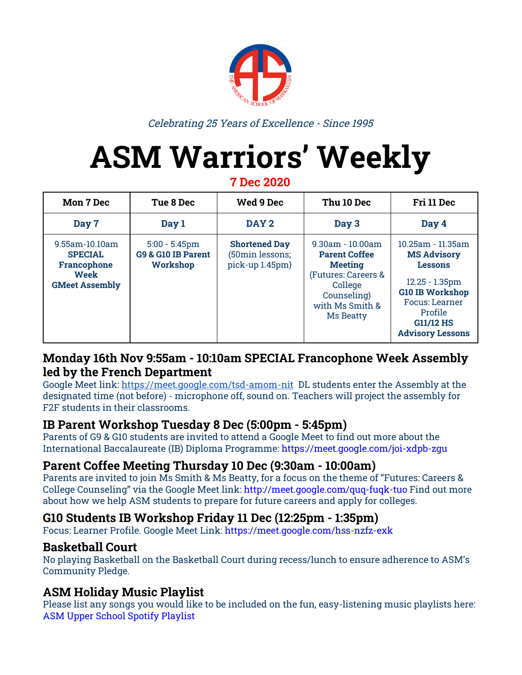## **Photo Memories (Week 13)**

**The Giving Tree!**